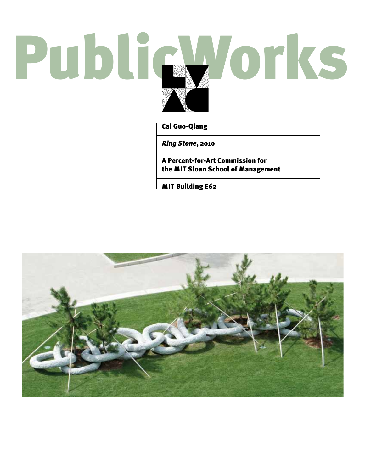# PublicWorks

Cai Guo-Qiang

*Ring Stone*, 2010

A Percent-for-Art Commission for the MIT Sloan School of Management

MIT Building E62

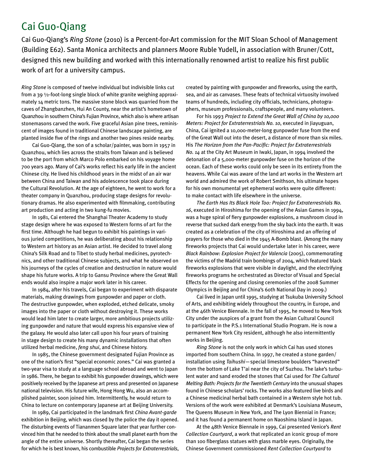# Cai Guo-Qiang

Cai Guo-Qiang's *Ring Stone* (2010) is a Percent-for-Art commission for the MIT Sloan School of Management (Building E62). Santa Monica architects and planners Moore Ruble Yudell, in association with Bruner/Cott, designed this new building and worked with this internationally renowned artist to realize his first public work of art for a university campus.

*Ring Stone* is composed of twelve individual but indivisible links cut from a 39 1⁄2-foot-long single block of white granite weighing approximately 14 metric tons. The massive stone block was quarried from the caves of Zhangbanzhen, Hui An County, near the artist's hometown of Quanzhou in southern China's Fujian Province, which also is where artisan stonemasons carved the work. Five graceful Asian pine trees, reminiscent of images found in traditional Chinese landscape painting, are planted inside five of the rings and another two pines reside nearby.

Cai Guo-Qiang, the son of a scholar/painter, was born in 1957 in Quanzhou, which lies across the straits from Taiwan and is believed to be the port from which Marco Polo embarked on his voyage home 700 years ago. Many of Cai's works reflect his early life in the ancient Chinese city. He lived his childhood years in the midst of an air war between China and Taiwan and his adolescence took place during the Cultural Revolution. At the age of eighteen, he went to work for a theater company in Quanzhou, producing stage designs for revolutionary dramas. He also experimented with filmmaking, contributing art production and acting in two kung-fu movies.

In 1981, Cai entered the Shanghai Theater Academy to study stage design where he was exposed to Western forms of art for the first time. Although he had begun to exhibit his paintings in various juried competitions, he was deliberating about his relationship to Western art history as an Asian artist. He decided to travel along China's Silk Road and to Tibet to study herbal medicines, pyrotechnics, and other traditional Chinese subjects, and what he observed on his journeys of the cycles of creation and destruction in nature would shape his future works. A trip to Gansu Province where the Great Wall ends would also inspire a major work later in his career.

In 1984, after his travels, Cai began to experiment with disparate materials, making drawings from gunpowder and paper or cloth. The destructive gunpowder, when exploded, etched delicate, smoky images into the paper or cloth without destroying it. These works would lead him later to create larger, more ambitious projects utilizing gunpowder and nature that would express his expansive view of the galaxy. He would also later call upon his four years of training in stage design to create his many dynamic installations that often utilized herbal medicine, *feng shui*, and Chinese history.

In 1985, the Chinese government designated Fujian Province as one of the nation's first "special economic zones." Cai was granted a two-year visa to study at a language school abroad and went to Japan in 1986. There, he began to exhibit his gunpowder drawings, which were positively received by the Japanese art press and presented on Japanese national television. His future wife, Hong Hong Wu, also an accomplished painter, soon joined him. Intermittently, he would return to China to lecture on contemporary Japanese art at Beijing University.

In 1989, Cai participated in the landmark first *China Avant-garde* exhibition in Beijing, which was closed by the police the day it opened. The disturbing events of Tiananmen Square later that year further convinced him that he needed to think about the small planet earth from the angle of the entire universe. Shortly thereafter, Cai began the series for which he is best known, his combustible *Projects for Extraterrestrials*, created by painting with gunpowder and fireworks, using the earth, sea, and air as canvases. These feats of technical virtuosity involved teams of hundreds, including city officials, technicians, photographers, museum professionals, craftspeople, and many volunteers.

For his 1993 *Project to Extend the Great Wall of China by 10,000 Meters: Project for Extraterrestrials No. 10*, executed in Jiayuguan, China, Cai ignited a 10,000-meter-long gunpowder fuse from the end of the Great Wall out into the desert, a distance of more than six miles. His *The Horizon from the Pan-Pacific: Project for Extraterrestrials No. 14* at the City Art Museum in Iwaki, Japan, in 1994 involved the detonation of a 5,000-meter gunpowder fuse on the horizon of the ocean. Each of these works could only be seen in its entirety from the heavens. While Cai was aware of the land art works in the Western art world and admired the work of Robert Smithson, his ultimate hopes for his own monumental yet ephemeral works were quite different: to make contact with life elsewhere in the universe.

*The Earth Has Its Black Hole Too: Project for Extraterrestrials No. 16*, executed in Hiroshima for the opening of the Asian Games in 1994, was a huge spiral of fiery gunpowder explosions, a mushroom cloud in reverse that sucked dark energy from the sky back into the earth. It was created as a celebration of the city of Hiroshima and an offering of prayers for those who died in the 1945 A-Bomb blast. (Among the many fireworks projects that Cai would undertake later in his career, were *Black Rainbow: Explosion Project for Valencia* (2005), commemorating the victims of the Madrid train bombings of 2004, which featured black fireworks explosions that were visible in daylight, and the electrifying fireworks programs he orchestrated as Director of Visual and Special Effects for the opening and closing ceremonies of the 2008 Summer Olympics in Beijing and for China's 60th National Day in 2009.)

Cai lived in Japan until 1995, studying at Tsukuba University School of Arts, and exhibiting widely throughout the country, in Europe, and at the 46th Venice Biennale. In the fall of 1995, he moved to New York City under the auspices of a grant from the Asian Cultural Council to participate in the P.S.1 International Studio Program. He is now a permanent New York City resident, although he also intermittently works in Beijing.

*Ring Stone* is not the only work in which Cai has used stones imported from southern China. In 1997, he created a stone garden/ installation using *Taihushi*—special limestone boulders "harvested" from the bottom of Lake T'ai near the city of Suzhou. The lake's turbulent water and sand eroded the stones that Cai used for *The Cultural Melting Bath: Projects for the Twentieth Century* into the unusual shapes found in Chinese scholars' rocks. The works also featured live birds and a Chinese medicinal herbal bath contained in a Western style hot tub. Versions of the work were exhibited at Denmark's Louisiana Museum, The Queens Museum in New York, and The Lyon Biennial in France; and it has found a permanent home on Naoshima Island in Japan.

At the 48th Venice Biennale in 1999, Cai presented Venice's *Rent Collection Courtyard*, a work that replicated an iconic group of more than 100 fiberglass statues with glass marble eyes. Originally, the Chinese Government commissioned *Rent Collection Courtyard* to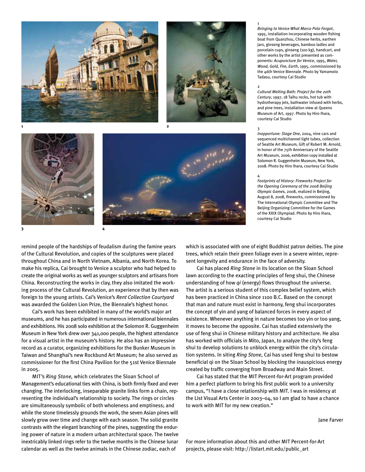







**2**

remind people of the hardships of feudalism during the famine years of the Cultural Revolution, and copies of the sculptures were placed throughout China and in North Vietnam, Albania, and North Korea. To make his replica, Cai brought to Venice a sculptor who had helped to create the original works as well as younger sculptors and artisans from China. Reconstructing the works in clay, they also imitated the working process of the Cultural Revolution, an experience that by then was foreign to the young artists. Cai's Venice's *Rent Collection Courtyard* was awarded the Golden Lion Prize, the Biennale's highest honor.

Cai's work has been exhibited in many of the world's major art museums, and he has participated in numerous international biennales and exhibitions. His 2008 solo exhibition at the Solomon R. Guggenheim Museum in New York drew over 341,000 people, the highest attendance for a visual artist in the museum's history. He also has an impressive record as a curator, organizing exhibitions for the Bunker Museum in Taiwan and Shanghai's new Rockbund Art Museum; he also served as commissioner for the first China Pavilion for the 51st Venice Biennale in 2005.

MIT's *Ring Stone,* which celebrates the Sloan School of Management's educational ties with China, is both firmly fixed and ever changing. The interlocking, inseparable granite links form a chain, representing the individual's relationship to society. The rings or circles are simultaneously symbolic of both wholeness and emptiness; and while the stone timelessly grounds the work, the seven Asian pines will slowly grow over time and change with each season. The solid granite contrasts with the elegant branching of the pines, suggesting the enduring power of nature in a modern urban architectural space. The twelve inextricably linked rings refer to the twelve months in the Chinese lunar calendar as well as the twelve animals in the Chinese zodiac, each of

*Bringing to Venice What Marco Polo Forgot*, 1995, installation incorporating wooden fishing boat from Quanzhou, Chinese herbs, earthen jars, ginseng beverages, bamboo ladles and porcelain cups, ginseng (100 kg), handcart, and other works by the artist presented as components: *Acupuncture for Venice*, 1995, *Water, Wood, Gold, Fire, Earth*, 1995, commissioned by the 46th Venice Biennale. Photo by Yamamoto Tadasu, courtesy Cai Studio

# 2

1

*Cultural Melting Bath: Project for the 20th Century*, 1997, 18 Taihu rocks, hot tub with hydrotherapy jets, bathwater infused with herbs, and pine trees, installation view at Queens Museum of Art, 1997. Photo by Hiro Ihara, courtesy Cai Studio

### 3

*Inopportune: Stage One*, 2004, nine cars and sequenced multichannel light tubes, collection of Seattle Art Museum, Gift of Robert M. Arnold, in honor of the 75th Anniversary of the Seattle Art Museum, 2006, exhibition copy installed at Solomon R. Guggenheim Museum, New York, 2008. Photo by Hiro Ihara, courtesy Cai Studio

## 4

*Footprints of History: Fireworks Project for the Opening Ceremony of the 2008 Beijing Olympic Games*, 2008, realized in Beijing, August 8, 2008, fireworks, commissioned by The International Olympic Committee and The Beijing Organizing Committee for the Games of the XXIX Olympiad. Photo by Hiro Ihara, courtesy Cai Studio

which is associated with one of eight Buddhist patron deities. The pine trees, which retain their green foliage even in a severe winter, represent longevity and endurance in the face of adversity.

Cai has placed *Ring Stone* in its location on the Sloan School lawn according to the exacting principles of feng shui, the Chinese understanding of how *qi* (energy) flows throughout the universe. The artist is a serious student of this complex belief system, which has been practiced in China since 1100 B.C. Based on the concept that man and nature must exist in harmony, feng shui incorporates the concept of yin and yang of balanced forces in every aspect of existence. Whenever anything in nature becomes too yin or too yang, it moves to become the opposite. Cai has studied extensively the use of feng shui in Chinese military history and architecture. He also has worked with officials in Mito, Japan, to analyze the city's feng shui to develop solutions to unblock energy within the city's circulation systems. In siting *Ring Stone*, Cai has used feng shui to bestow beneficial qi on the Sloan School by blocking the inauspicious energy created by traffic converging from Broadway and Main Street.

Cai has stated that the MIT Percent-for-Art program provided him a perfect platform to bring his first public work to a university campus, "I have a close relationship with MIT. I was in residency at the List Visual Arts Center in 2003–04, so I am glad to have a chance to work with MIT for my new creation."

Jane Farver

For more information about this and other MIT Percent-for-Art projects, please visit: http://listart.mit.edu/public\_art